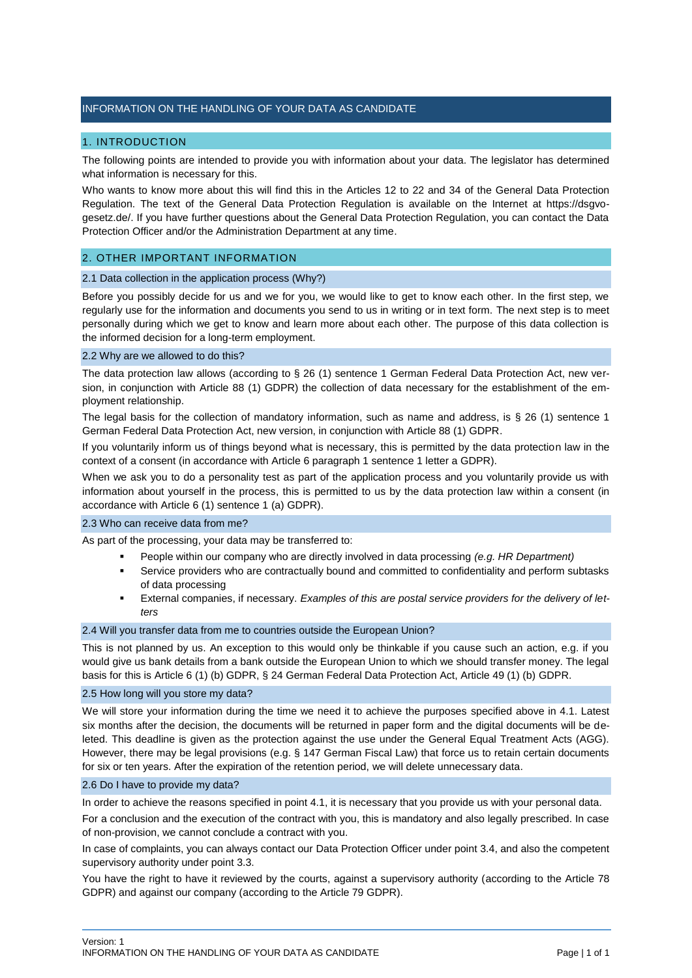# INFORMATION ON THE HANDLING OF YOUR DATA AS CANDIDATE

# 1. INTRODUCTION

The following points are intended to provide you with information about your data. The legislator has determined what information is necessary for this.

Who wants to know more about this will find this in the Articles 12 to 22 and 34 of the General Data Protection Regulation. The text of the General Data Protection Regulation is available on the Internet at https://dsgvogesetz.de/. If you have further questions about the General Data Protection Regulation, you can contact the Data Protection Officer and/or the Administration Department at any time.

# 2. OTHER IMPORTANT INFORMATION

## 2.1 Data collection in the application process (Why?)

Before you possibly decide for us and we for you, we would like to get to know each other. In the first step, we regularly use for the information and documents you send to us in writing or in text form. The next step is to meet personally during which we get to know and learn more about each other. The purpose of this data collection is the informed decision for a long-term employment.

## 2.2 Why are we allowed to do this?

The data protection law allows (according to § 26 (1) sentence 1 German Federal Data Protection Act, new version, in conjunction with Article 88 (1) GDPR) the collection of data necessary for the establishment of the employment relationship.

The legal basis for the collection of mandatory information, such as name and address, is § 26 (1) sentence 1 German Federal Data Protection Act, new version, in conjunction with Article 88 (1) GDPR.

If you voluntarily inform us of things beyond what is necessary, this is permitted by the data protection law in the context of a consent (in accordance with Article 6 paragraph 1 sentence 1 letter a GDPR).

When we ask you to do a personality test as part of the application process and you voluntarily provide us with information about yourself in the process, this is permitted to us by the data protection law within a consent (in accordance with Article 6 (1) sentence 1 (a) GDPR).

## 2.3 Who can receive data from me?

As part of the processing, your data may be transferred to:

- People within our company who are directly involved in data processing *(e.g. HR Department)*
- Service providers who are contractually bound and committed to confidentiality and perform subtasks of data processing
- External companies, if necessary. *Examples of this are postal service providers for the delivery of letters*

# 2.4 Will you transfer data from me to countries outside the European Union?

This is not planned by us. An exception to this would only be thinkable if you cause such an action, e.g. if you would give us bank details from a bank outside the European Union to which we should transfer money. The legal basis for this is Article 6 (1) (b) GDPR, § 24 German Federal Data Protection Act, Article 49 (1) (b) GDPR.

## 2.5 How long will you store my data?

We will store your information during the time we need it to achieve the purposes specified above in 4.1. Latest six months after the decision, the documents will be returned in paper form and the digital documents will be deleted. This deadline is given as the protection against the use under the General Equal Treatment Acts (AGG). However, there may be legal provisions (e.g. § 147 German Fiscal Law) that force us to retain certain documents for six or ten years. After the expiration of the retention period, we will delete unnecessary data.

## 2.6 Do I have to provide my data?

In order to achieve the reasons specified in point 4.1, it is necessary that you provide us with your personal data.

For a conclusion and the execution of the contract with you, this is mandatory and also legally prescribed. In case of non-provision, we cannot conclude a contract with you.

In case of complaints, you can always contact our Data Protection Officer under point 3.4, and also the competent supervisory authority under point 3.3.

You have the right to have it reviewed by the courts, against a supervisory authority (according to the Article 78 GDPR) and against our company (according to the Article 79 GDPR).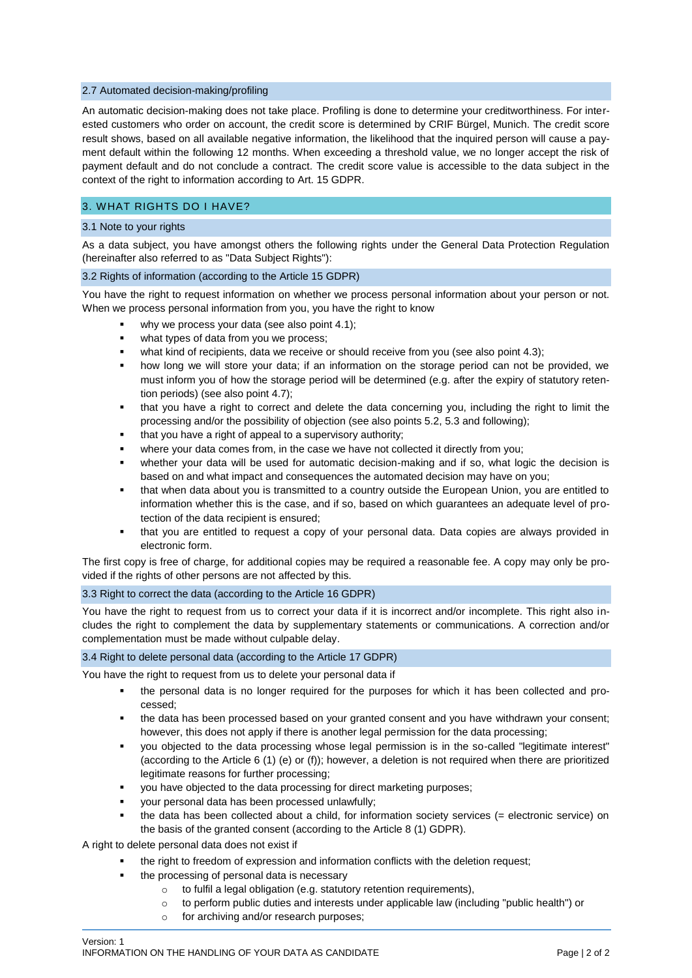## 2.7 Automated decision-making/profiling

An automatic decision-making does not take place. Profiling is done to determine your creditworthiness. For interested customers who order on account, the credit score is determined by CRIF Bürgel, Munich. The credit score result shows, based on all available negative information, the likelihood that the inquired person will cause a payment default within the following 12 months. When exceeding a threshold value, we no longer accept the risk of payment default and do not conclude a contract. The credit score value is accessible to the data subject in the context of the right to information according to Art. 15 GDPR.

# 3. WHAT RIGHTS DO I HAVE?

## 3.1 Note to your rights

As a data subject, you have amongst others the following rights under the General Data Protection Regulation (hereinafter also referred to as "Data Subject Rights"):

## 3.2 Rights of information (according to the Article 15 GDPR)

You have the right to request information on whether we process personal information about your person or not. When we process personal information from you, you have the right to know

- why we process your data (see also point 4.1);
- what types of data from you we process;
- what kind of recipients, data we receive or should receive from you (see also point 4.3);
- how long we will store your data; if an information on the storage period can not be provided, we must inform you of how the storage period will be determined (e.g. after the expiry of statutory retention periods) (see also point 4.7);
- that you have a right to correct and delete the data concerning you, including the right to limit the processing and/or the possibility of objection (see also points 5.2, 5.3 and following);
- that you have a right of appeal to a supervisory authority;
- where your data comes from, in the case we have not collected it directly from you;
- whether your data will be used for automatic decision-making and if so, what logic the decision is based on and what impact and consequences the automated decision may have on you;
- that when data about you is transmitted to a country outside the European Union, you are entitled to information whether this is the case, and if so, based on which guarantees an adequate level of protection of the data recipient is ensured;
- that you are entitled to request a copy of your personal data. Data copies are always provided in electronic form.

The first copy is free of charge, for additional copies may be required a reasonable fee. A copy may only be provided if the rights of other persons are not affected by this.

# 3.3 Right to correct the data (according to the Article 16 GDPR)

You have the right to request from us to correct your data if it is incorrect and/or incomplete. This right also includes the right to complement the data by supplementary statements or communications. A correction and/or complementation must be made without culpable delay.

# 3.4 Right to delete personal data (according to the Article 17 GDPR)

You have the right to request from us to delete your personal data if

- the personal data is no longer required for the purposes for which it has been collected and processed;
- the data has been processed based on your granted consent and you have withdrawn your consent; however, this does not apply if there is another legal permission for the data processing;
- you objected to the data processing whose legal permission is in the so-called "legitimate interest" (according to the Article 6 (1) (e) or (f)); however, a deletion is not required when there are prioritized legitimate reasons for further processing;
- you have objected to the data processing for direct marketing purposes;
- your personal data has been processed unlawfully;
- the data has been collected about a child, for information society services (= electronic service) on the basis of the granted consent (according to the Article 8 (1) GDPR).

A right to delete personal data does not exist if

- the right to freedom of expression and information conflicts with the deletion request;
- the processing of personal data is necessary
	- o to fulfil a legal obligation (e.g. statutory retention requirements),
	- o to perform public duties and interests under applicable law (including "public health") or
	- o for archiving and/or research purposes;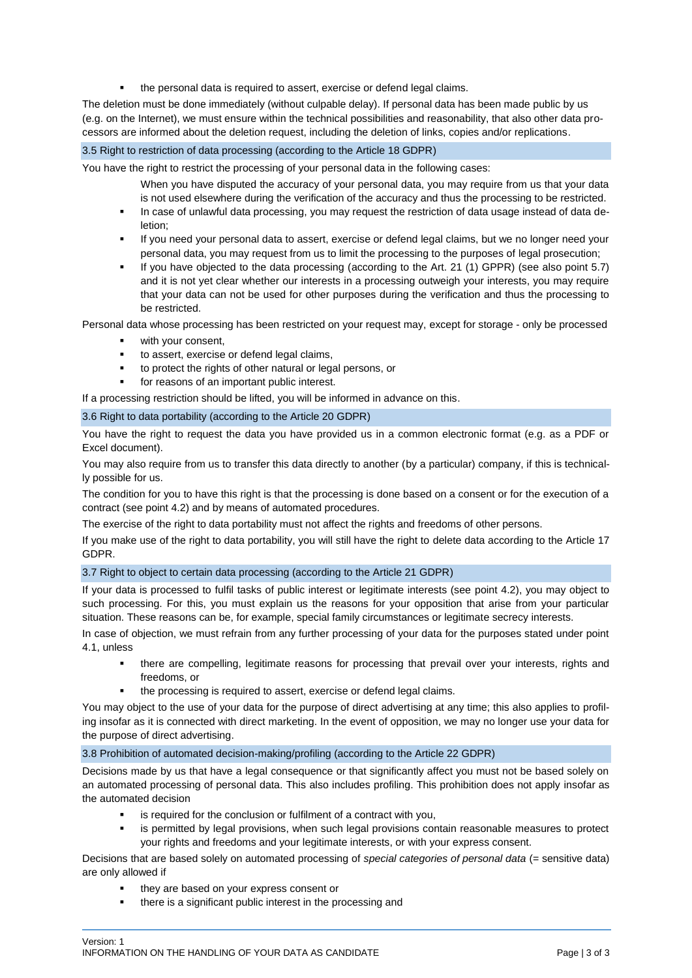the personal data is required to assert, exercise or defend legal claims.

The deletion must be done immediately (without culpable delay). If personal data has been made public by us (e.g. on the Internet), we must ensure within the technical possibilities and reasonability, that also other data processors are informed about the deletion request, including the deletion of links, copies and/or replications.

# 3.5 Right to restriction of data processing (according to the Article 18 GDPR)

You have the right to restrict the processing of your personal data in the following cases:

- When you have disputed the accuracy of your personal data, you may require from us that your data is not used elsewhere during the verification of the accuracy and thus the processing to be restricted.
- In case of unlawful data processing, you may request the restriction of data usage instead of data deletion;
- If you need your personal data to assert, exercise or defend legal claims, but we no longer need your personal data, you may request from us to limit the processing to the purposes of legal prosecution;
- If you have objected to the data processing (according to the Art. 21 (1) GPPR) (see also point 5.7) and it is not yet clear whether our interests in a processing outweigh your interests, you may require that your data can not be used for other purposes during the verification and thus the processing to be restricted.

Personal data whose processing has been restricted on your request may, except for storage - only be processed

- with your consent,
- to assert, exercise or defend legal claims,
- to protect the rights of other natural or legal persons, or
- for reasons of an important public interest.

If a processing restriction should be lifted, you will be informed in advance on this.

## 3.6 Right to data portability (according to the Article 20 GDPR)

You have the right to request the data you have provided us in a common electronic format (e.g. as a PDF or Excel document).

You may also require from us to transfer this data directly to another (by a particular) company, if this is technically possible for us.

The condition for you to have this right is that the processing is done based on a consent or for the execution of a contract (see point 4.2) and by means of automated procedures.

The exercise of the right to data portability must not affect the rights and freedoms of other persons.

If you make use of the right to data portability, you will still have the right to delete data according to the Article 17 GDPR.

# 3.7 Right to object to certain data processing (according to the Article 21 GDPR)

If your data is processed to fulfil tasks of public interest or legitimate interests (see point 4.2), you may object to such processing. For this, you must explain us the reasons for your opposition that arise from your particular situation. These reasons can be, for example, special family circumstances or legitimate secrecy interests.

In case of objection, we must refrain from any further processing of your data for the purposes stated under point 4.1, unless

- there are compelling, legitimate reasons for processing that prevail over your interests, rights and freedoms, or
- the processing is required to assert, exercise or defend legal claims.

You may object to the use of your data for the purpose of direct advertising at any time; this also applies to profiling insofar as it is connected with direct marketing. In the event of opposition, we may no longer use your data for the purpose of direct advertising.

## 3.8 Prohibition of automated decision-making/profiling (according to the Article 22 GDPR)

Decisions made by us that have a legal consequence or that significantly affect you must not be based solely on an automated processing of personal data. This also includes profiling. This prohibition does not apply insofar as the automated decision

- is required for the conclusion or fulfilment of a contract with you,
- is permitted by legal provisions, when such legal provisions contain reasonable measures to protect your rights and freedoms and your legitimate interests, or with your express consent.

Decisions that are based solely on automated processing of *special categories of personal data* (= sensitive data) are only allowed if

- they are based on your express consent or
- there is a significant public interest in the processing and